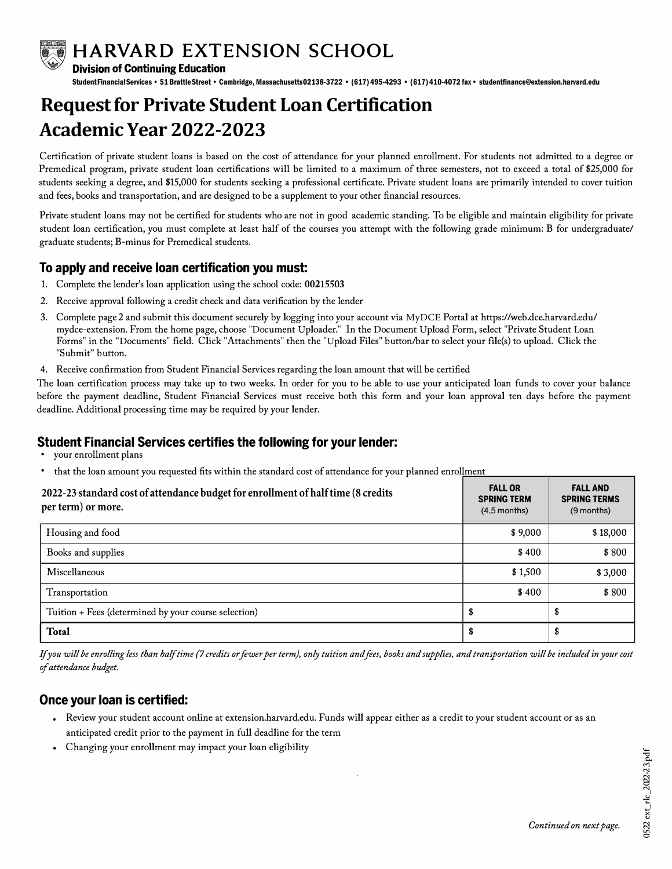

**WE HARVARD EXTENSION SCHOOL**<br>Division of Continuing Education

**Division of Continuing Education** 

Student FinancialServices• 51 BrattleStreet• Cambridge, Massachusetts02138-3722 • (617) 495-4293 • (617)410-4072 fax• studentfinance@extension.harvard.edu

# **Requestfor Private Student Loan Certification Academic Year 2022-2023**

Certification of private student loans is based on the cost of attendance for your planned enrollment. For students not admitted to a degree or Premedical program, private student loan certifications will be limited to a maximum of three semesters, not to exceed a total of \$25,000 for students seeking a degree, and \$15,000 for students seeking a professional certificate. Private student loans are primarily intended to cover tuition and fees, books and transportation, and are designed to be a supplement to your other financial resources.

Private student loans may not be certified for students who are not in good academic standing. To be eligible and maintain eligibility for private student loan certification, you must complete at least half of the courses you attempt with the following grade minimum: B for undergraduate/ graduate students; B-minus for Premedical students.

#### **To apply and receive loan certification you must:**

- 1. Complete the lender's loan application using the school code: 00215503
- 2. Receive approval following a credit check and data verification by the lender
- 3. Complete page 2 and submit this document securely by logging into your account via MyDCE Portal at https://web.dce.harvard.edu/ mydce-extension. From the home page, choose "Document Uploader." In the Document Upload Form, select "Private Student Loan Forms" in the "Documents" field. Click "Attachments" then the "Upload Files" button/bar to select your file(s) to upload. Click the "Submit" button.
- 4. Receive confirmation from Student Financial Services regarding the loan amount that will be certified

The loan certification process may take up to two weeks. In order for you to be able to use your anticipated loan funds to cover your balance before the payment deadline, Student Financial Services must receive both this form and your loan approval ten days before the payment deadline. Additional processing time may be required by your lender.

## **Student Financial Services certifies the following for your lender:**

- your enrollment plans
- that the loan amount you requested fits within the standard cost of attendance for your planned enrollment

| 2022-23 standard cost of attendance budget for enrollment of half time (8 credits<br>per term) or more. | <b>FALL OR</b><br><b>SPRING TERM</b><br>$(4.5$ months) | <b>FALL AND</b><br><b>SPRING TERMS</b><br>(9 months) |
|---------------------------------------------------------------------------------------------------------|--------------------------------------------------------|------------------------------------------------------|
| Housing and food                                                                                        | \$9,000                                                | \$18,000                                             |
| Books and supplies                                                                                      | \$400                                                  | \$800                                                |
| Miscellaneous                                                                                           | \$1,500                                                | \$3,000                                              |
| Transportation                                                                                          | \$400                                                  | \$800                                                |
| Tuition + Fees (determined by your course selection)                                                    |                                                        |                                                      |
| <b>Total</b>                                                                                            |                                                        |                                                      |

*If you will be enrolling less than half time (7 credits or fewer per term), only tuition and fees, books and supplies, and transportation will be included in your cost of attendance budget.* 

#### **Once your loan is certified:**

• Review your student account online at extension.harvard.edu. Funds will appear either as a credit to your student account or as an anticipated credit prior to the payment in full deadline for the term

.

Changing your enrollment may impact your loan eligibility